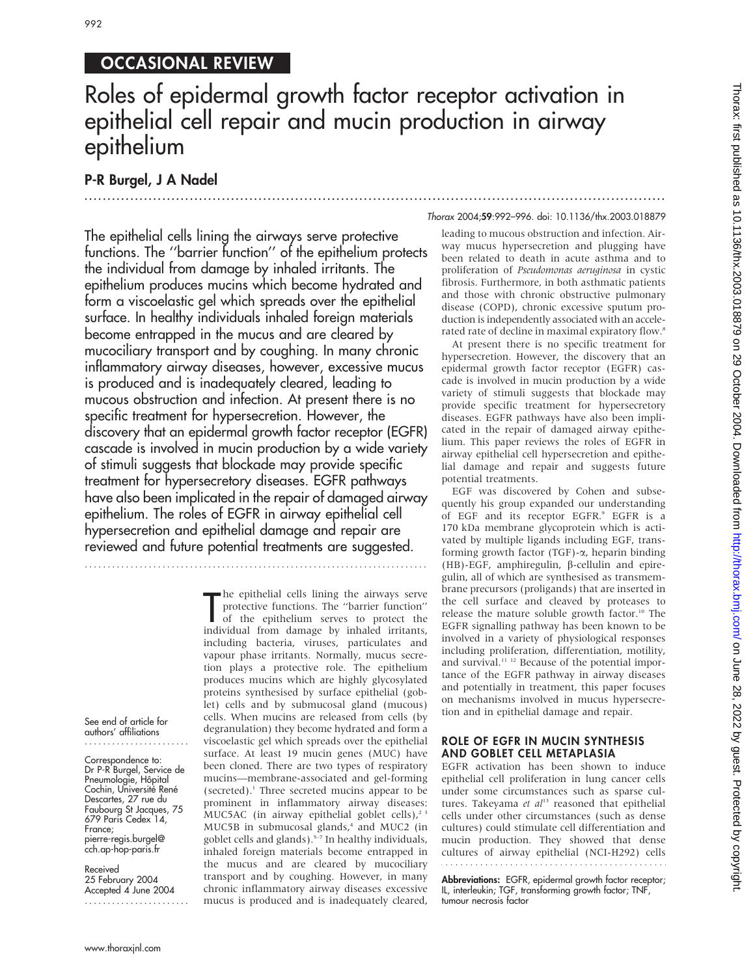# 992

# OCCASIONAL REVIEW

# Roles of epidermal growth factor receptor activation in epithelial cell repair and mucin production in airway epithelium

## P-R Burgel, J A Nadel

...............................................................................................................................

Thorax 2004;59:992–996. doi: 10.1136/thx.2003.018879

The epithelial cells lining the airways serve protective functions. The ''barrier function'' of the epithelium protects the individual from damage by inhaled irritants. The epithelium produces mucins which become hydrated and form a viscoelastic gel which spreads over the epithelial surface. In healthy individuals inhaled foreign materials become entrapped in the mucus and are cleared by mucociliary transport and by coughing. In many chronic inflammatory airway diseases, however, excessive mucus is produced and is inadequately cleared, leading to mucous obstruction and infection. At present there is no specific treatment for hypersecretion. However, the discovery that an epidermal growth factor receptor (EGFR) cascade is involved in mucin production by a wide variety of stimuli suggests that blockade may provide specific treatment for hypersecretory diseases. EGFR pathways have also been implicated in the repair of damaged airway epithelium. The roles of EGFR in airway epithelial cell hypersecretion and epithelial damage and repair are reviewed and future potential treatments are suggested.

...........................................................................

The epithelial cells lining the airways serve<br>protective functions. The "barrier function"<br>of the epithelium serves to protect the<br>individual from damage by inhaled irritants, he epithelial cells lining the airways serve protective functions. The ''barrier function'' of the epithelium serves to protect the including bacteria, viruses, particulates and vapour phase irritants. Normally, mucus secretion plays a protective role. The epithelium produces mucins which are highly glycosylated proteins synthesised by surface epithelial (goblet) cells and by submucosal gland (mucous) cells. When mucins are released from cells (by degranulation) they become hydrated and form a viscoelastic gel which spreads over the epithelial surface. At least 19 mucin genes (MUC) have been cloned. There are two types of respiratory mucins—membrane-associated and gel-forming (secreted).1 Three secreted mucins appear to be prominent in inflammatory airway diseases: MUC5AC (in airway epithelial goblet cells), $2^3$ MUC5B in submucosal glands,<sup>4</sup> and MUC2 (in goblet cells and glands).<sup>5-7</sup> In healthy individuals, inhaled foreign materials become entrapped in the mucus and are cleared by mucociliary transport and by coughing. However, in many chronic inflammatory airway diseases excessive mucus is produced and is inadequately cleared, leading to mucous obstruction and infection. Airway mucus hypersecretion and plugging have been related to death in acute asthma and to proliferation of Pseudomonas aeruginosa in cystic fibrosis. Furthermore, in both asthmatic patients and those with chronic obstructive pulmonary disease (COPD), chronic excessive sputum production is independently associated with an accelerated rate of decline in maximal expiratory flow.<sup>8</sup>

At present there is no specific treatment for hypersecretion. However, the discovery that an epidermal growth factor receptor (EGFR) cascade is involved in mucin production by a wide variety of stimuli suggests that blockade may provide specific treatment for hypersecretory diseases. EGFR pathways have also been implicated in the repair of damaged airway epithelium. This paper reviews the roles of EGFR in airway epithelial cell hypersecretion and epithelial damage and repair and suggests future potential treatments.

EGF was discovered by Cohen and subsequently his group expanded our understanding of EGF and its receptor EGFR.<sup>9</sup> EGFR is a 170 kDa membrane glycoprotein which is activated by multiple ligands including EGF, transforming growth factor  $(TGF)$ - $\alpha$ , heparin binding (HB)-EGF, amphiregulin,  $\beta$ -cellulin and epiregulin, all of which are synthesised as transmembrane precursors (proligands) that are inserted in the cell surface and cleaved by proteases to release the mature soluble growth factor.<sup>10</sup> The EGFR signalling pathway has been known to be involved in a variety of physiological responses including proliferation, differentiation, motility, and survival.<sup>11 12</sup> Because of the potential importance of the EGFR pathway in airway diseases and potentially in treatment, this paper focuses on mechanisms involved in mucus hypersecretion and in epithelial damage and repair.

### ROLE OF EGFR IN MUCIN SYNTHESIS AND GOBLET CELL METAPLASIA

EGFR activation has been shown to induce epithelial cell proliferation in lung cancer cells under some circumstances such as sparse cultures. Takeyama et  $al<sup>13</sup>$  reasoned that epithelial cells under other circumstances (such as dense cultures) could stimulate cell differentiation and mucin production. They showed that dense cultures of airway epithelial (NCI-H292) cells 

Abbreviations: EGFR, epidermal growth factor receptor; IL, interleukin; TGF, transforming growth factor; TNF, tumour necrosis factor

See end of article for authors' affiliations .......................

Correspondence to: Dr P-R Burgel, Service de Pneumologie, Hôpital Cochin, Université René Descartes, 27 rue du Faubourg St Jacques, 75 679 Paris Cedex 14, France; pierre-regis.burgel@ cch.ap-hop-paris.fr

Received 25 February 2004 Accepted 4 June 2004 .......................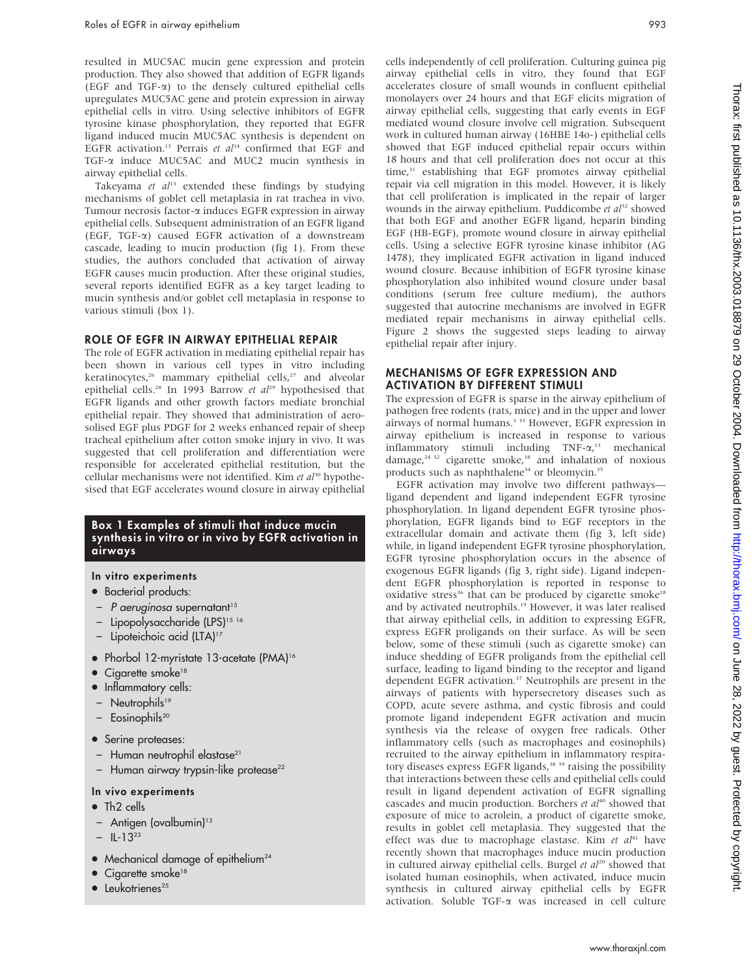resulted in MUC5AC mucin gene expression and protein production. They also showed that addition of EGFR ligands (EGF and TGF-a) to the densely cultured epithelial cells upregulates MUC5AC gene and protein expression in airway epithelial cells in vitro. Using selective inhibitors of EGFR tyrosine kinase phosphorylation, they reported that EGFR ligand induced mucin MUC5AC synthesis is dependent on EGFR activation.<sup>13</sup> Perrais et  $al^{14}$  confirmed that EGF and TGF-a induce MUC5AC and MUC2 mucin synthesis in airway epithelial cells.

Takeyama et  $al^{13}$  extended these findings by studying mechanisms of goblet cell metaplasia in rat trachea in vivo. Tumour necrosis factor-a induces EGFR expression in airway epithelial cells. Subsequent administration of an EGFR ligand (EGF, TGF-a) caused EGFR activation of a downstream cascade, leading to mucin production (fig 1). From these studies, the authors concluded that activation of airway EGFR causes mucin production. After these original studies, several reports identified EGFR as a key target leading to mucin synthesis and/or goblet cell metaplasia in response to various stimuli (box 1).

#### ROLE OF EGFR IN AIRWAY EPITHELIAL REPAIR

The role of EGFR activation in mediating epithelial repair has been shown in various cell types in vitro including keratinocytes,<sup>26</sup> mammary epithelial cells,<sup>27</sup> and alveolar epithelial cells.<sup>28</sup> In 1993 Barrow et  $al^{29}$  hypothesised that EGFR ligands and other growth factors mediate bronchial epithelial repair. They showed that administration of aerosolised EGF plus PDGF for 2 weeks enhanced repair of sheep tracheal epithelium after cotton smoke injury in vivo. It was suggested that cell proliferation and differentiation were responsible for accelerated epithelial restitution, but the cellular mechanisms were not identified. Kim et  $a^{130}$  hypothesised that EGF accelerates wound closure in airway epithelial

### Box 1 Examples of stimuli that induce mucin synthesis in vitro or in vivo by EGFR activation in airways

### In vitro experiments

- Bacterial products:
- $-$  P aeruginosa supernatant<sup>15</sup>
- Lipopolysaccharide (LPS)<sup>15 16</sup>
- Lipoteichoic acid (LTA)<sup>17</sup>
- Phorbol 12-myristate 13-acetate (PMA)<sup>16</sup>
- $\bullet$  Cigarette smoke<sup>18</sup>
- Inflammatory cells:
- Neutrophils<sup>19</sup>
- $-$  Eosinophils<sup>20</sup>
- Serine proteases:
- Human neutrophil elastase<sup>21</sup>
- $-$  Human airway trypsin-like protease<sup>22</sup>

### In vivo experiments

- $\bullet$  Th2 cells
- Antigen (ovalbumin)<sup>13</sup>
- $-$  IL-13<sup>23</sup>
- Mechanical damage of epithelium<sup>24</sup>
- Cigarette smoke<sup>18</sup>
- $\bullet$  Leukotrienes<sup>25</sup>

cells independently of cell proliferation. Culturing guinea pig airway epithelial cells in vitro, they found that EGF accelerates closure of small wounds in confluent epithelial monolayers over 24 hours and that EGF elicits migration of airway epithelial cells, suggesting that early events in EGF mediated wound closure involve cell migration. Subsequent work in cultured human airway (16HBE 14o-) epithelial cells showed that EGF induced epithelial repair occurs within 18 hours and that cell proliferation does not occur at this time,<sup>31</sup> establishing that EGF promotes airway epithelial repair via cell migration in this model. However, it is likely that cell proliferation is implicated in the repair of larger wounds in the airway epithelium. Puddicombe et  $al^{32}$  showed that both EGF and another EGFR ligand, heparin binding EGF (HB-EGF), promote wound closure in airway epithelial cells. Using a selective EGFR tyrosine kinase inhibitor (AG 1478), they implicated EGFR activation in ligand induced wound closure. Because inhibition of EGFR tyrosine kinase phosphorylation also inhibited wound closure under basal conditions (serum free culture medium), the authors suggested that autocrine mechanisms are involved in EGFR mediated repair mechanisms in airway epithelial cells. Figure 2 shows the suggested steps leading to airway epithelial repair after injury.

### MECHANISMS OF EGFR EXPRESSION AND ACTIVATION BY DIFFERENT STIMULI

The expression of EGFR is sparse in the airway epithelium of pathogen free rodents (rats, mice) and in the upper and lower airways of normal humans.<sup>3 33</sup> However, EGFR expression in airway epithelium is increased in response to various inflammatory stimuli including TNF- $\alpha$ ,<sup>13</sup> mechanical damage, $24 \times 32$  cigarette smoke,<sup>18</sup> and inhalation of noxious products such as naphthalene<sup>34</sup> or bleomycin.<sup>35</sup>

EGFR activation may involve two different pathways ligand dependent and ligand independent EGFR tyrosine phosphorylation. In ligand dependent EGFR tyrosine phosphorylation, EGFR ligands bind to EGF receptors in the extracellular domain and activate them (fig 3, left side) while, in ligand independent EGFR tyrosine phosphorylation, EGFR tyrosine phosphorylation occurs in the absence of exogenous EGFR ligands (fig 3, right side). Ligand independent EGFR phosphorylation is reported in response to oxidative stress<sup>36</sup> that can be produced by cigarette smoke<sup>18</sup> and by activated neutrophils.<sup>19</sup> However, it was later realised that airway epithelial cells, in addition to expressing EGFR, express EGFR proligands on their surface. As will be seen below, some of these stimuli (such as cigarette smoke) can induce shedding of EGFR proligands from the epithelial cell surface, leading to ligand binding to the receptor and ligand dependent EGFR activation.<sup>37</sup> Neutrophils are present in the airways of patients with hypersecretory diseases such as COPD, acute severe asthma, and cystic fibrosis and could promote ligand independent EGFR activation and mucin synthesis via the release of oxygen free radicals. Other inflammatory cells (such as macrophages and eosinophils) recruited to the airway epithelium in inflammatory respiratory diseases express EGFR ligands,<sup>38</sup> 39</sup> raising the possibility that interactions between these cells and epithelial cells could result in ligand dependent activation of EGFR signalling cascades and mucin production. Borchers  $et$   $al<sup>40</sup>$  showed that exposure of mice to acrolein, a product of cigarette smoke, results in goblet cell metaplasia. They suggested that the effect was due to macrophage elastase. Kim et  $al^{41}$  have recently shown that macrophages induce mucin production in cultured airway epithelial cells. Burgel et  $al^{20}$  showed that isolated human eosinophils, when activated, induce mucin synthesis in cultured airway epithelial cells by EGFR activation. Soluble TGF-a was increased in cell culture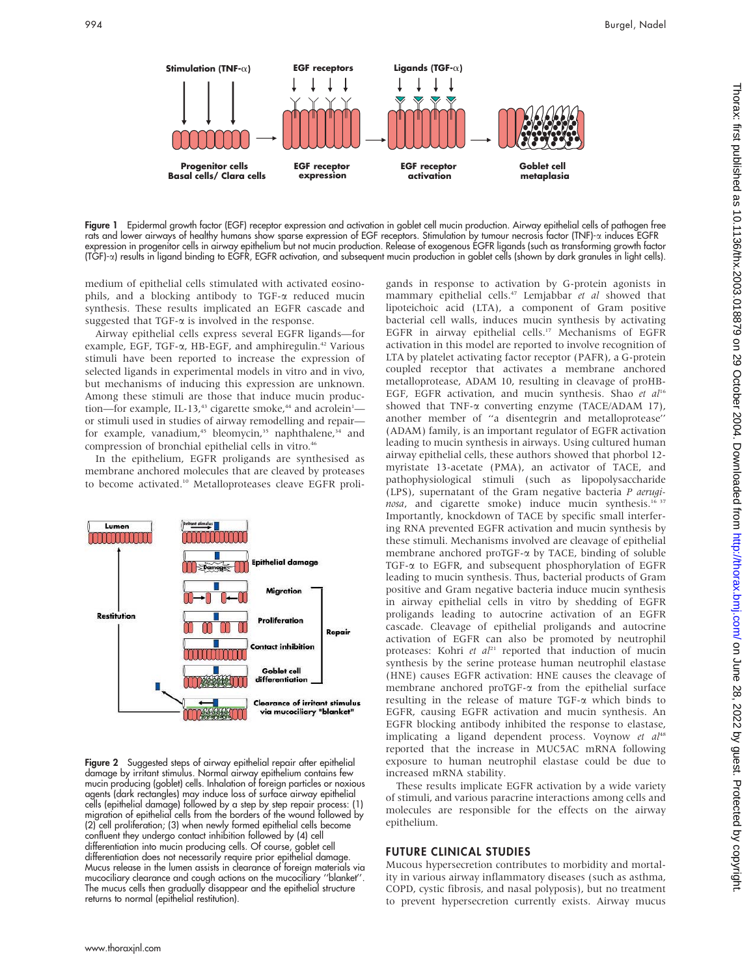

Figure 1 Epidermal growth factor (EGF) receptor expression and activation in goblet cell mucin production. Airway epithelial cells of pathogen free rats and lower airways of healthy humans show sparse expression of EGF receptors. Stimulation by tumour necrosis factor (TNF)-a induces EGFR expression in progenitor cells in airway epithelium but not mucin production. Release of exogenous EGFR ligands (such as transforming growth factor (TGF)-a) results in ligand binding to EGFR, EGFR activation, and subsequent mucin production in goblet cells (shown by dark granules in light cells).

medium of epithelial cells stimulated with activated eosinophils, and a blocking antibody to TGF-a reduced mucin synthesis. These results implicated an EGFR cascade and suggested that  $TGF-\alpha$  is involved in the response.

Airway epithelial cells express several EGFR ligands—for example, EGF, TGF- $\alpha$ , HB-EGF, and amphiregulin.<sup>42</sup> Various stimuli have been reported to increase the expression of selected ligands in experimental models in vitro and in vivo, but mechanisms of inducing this expression are unknown. Among these stimuli are those that induce mucin production—for example, IL-13,<sup>43</sup> cigarette smoke,<sup>44</sup> and acrolein<sup>1</sup> or stimuli used in studies of airway remodelling and repair for example, vanadium,<sup>45</sup> bleomycin,<sup>35</sup> naphthalene,<sup>34</sup> and compression of bronchial epithelial cells in vitro.<sup>46</sup>

In the epithelium, EGFR proligands are synthesised as membrane anchored molecules that are cleaved by proteases to become activated.10 Metalloproteases cleave EGFR proli-



Figure 2 Suggested steps of airway epithelial repair after epithelial damage by irritant stimulus. Normal airway epithelium contains few mucin producing (goblet) cells. Inhalation of foreign particles or noxious agents (dark rectangles) may induce loss of surface airway epithelial cells (epithelial damage) followed by a step by step repair process: (1) migration of epithelial cells from the borders of the wound followed by (2) cell proliferation; (3) when newly formed epithelial cells become confluent they undergo contact inhibition followed by (4) cell differentiation into mucin producing cells. Of course, goblet cell differentiation does not necessarily require prior epithelial damage. Mucus release in the lumen assists in clearance of foreign materials via mucociliary clearance and cough actions on the mucociliary ''blanket''. The mucus cells then gradually disappear and the epithelial structure returns to normal (epithelial restitution).

gands in response to activation by G-protein agonists in mammary epithelial cells.<sup>47</sup> Lemjabbar et al showed that lipoteichoic acid (LTA), a component of Gram positive bacterial cell walls, induces mucin synthesis by activating EGFR in airway epithelial cells.<sup>17</sup> Mechanisms of EGFR activation in this model are reported to involve recognition of LTA by platelet activating factor receptor (PAFR), a G-protein coupled receptor that activates a membrane anchored metalloprotease, ADAM 10, resulting in cleavage of proHB-EGF, EGFR activation, and mucin synthesis. Shao et  $al^{16}$ showed that TNF- $\alpha$  converting enzyme (TACE/ADAM 17), another member of ''a disentegrin and metalloprotease'' (ADAM) family, is an important regulator of EGFR activation leading to mucin synthesis in airways. Using cultured human airway epithelial cells, these authors showed that phorbol 12 myristate 13-acetate (PMA), an activator of TACE, and pathophysiological stimuli (such as lipopolysaccharide (LPS), supernatant of the Gram negative bacteria P aeruginosa, and cigarette smoke) induce mucin synthesis.<sup>16 37</sup> Importantly, knockdown of TACE by specific small interfering RNA prevented EGFR activation and mucin synthesis by these stimuli. Mechanisms involved are cleavage of epithelial membrane anchored proTGF-a by TACE, binding of soluble TGF-a to EGFR, and subsequent phosphorylation of EGFR leading to mucin synthesis. Thus, bacterial products of Gram positive and Gram negative bacteria induce mucin synthesis in airway epithelial cells in vitro by shedding of EGFR proligands leading to autocrine activation of an EGFR cascade. Cleavage of epithelial proligands and autocrine activation of EGFR can also be promoted by neutrophil proteases: Kohri et  $al^{21}$  reported that induction of mucin synthesis by the serine protease human neutrophil elastase (HNE) causes EGFR activation: HNE causes the cleavage of membrane anchored proTGF-a from the epithelial surface resulting in the release of mature  $TGF-\alpha$  which binds to EGFR, causing EGFR activation and mucin synthesis. An EGFR blocking antibody inhibited the response to elastase, implicating a ligand dependent process. Voynow et al<sup>48</sup> reported that the increase in MUC5AC mRNA following exposure to human neutrophil elastase could be due to increased mRNA stability.

These results implicate EGFR activation by a wide variety of stimuli, and various paracrine interactions among cells and molecules are responsible for the effects on the airway epithelium.

### FUTURE CLINICAL STUDIES

Mucous hypersecretion contributes to morbidity and mortality in various airway inflammatory diseases (such as asthma, COPD, cystic fibrosis, and nasal polyposis), but no treatment to prevent hypersecretion currently exists. Airway mucus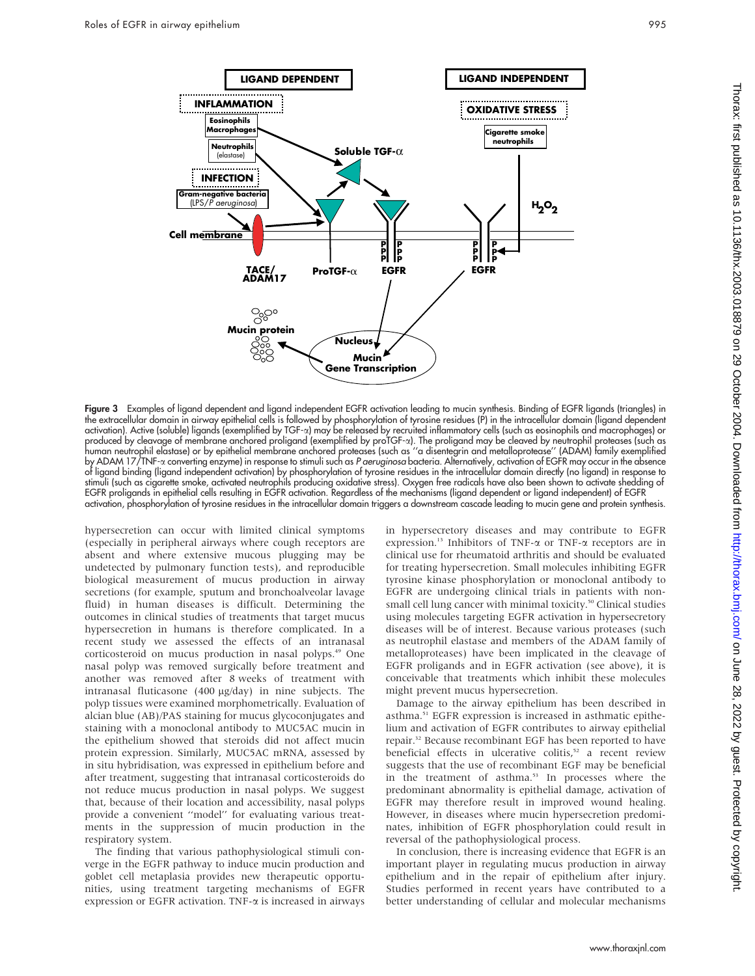

Figure 3 Examples of ligand dependent and ligand independent EGFR activation leading to mucin synthesis. Binding of EGFR ligands (triangles) in the extracellular domain in airway epithelial cells is followed by phosphorylation of tyrosine residues (P) in the intracellular domain (ligand dependent activation). Active (soluble) ligands (exemplified by TGF-a) may be released by recruited inflammatory cells (such as eosinophils and macrophages) or produced by cleavage of membrane anchored proligand (exemplified by proTGF-a). The proligand may be cleaved by neutrophil proteases (such as human neutrophil elastase) or by epithelial membrane anchored proteases (such as ''a disentegrin and metalloprotease'' (ADAM) family exemplified by ADAM 17/TNF-a converting enzyme) in response to stimuli such as *P aeruginosa* bacteria. Alternatively, activation of EGFR may occur in the absence of ligand binding (ligand independent activation) by phosphorylation of tyrosine residues in the intracellular domain directly (no ligand) in response to stimuli (such as cigarette smoke, activated neutrophils producing oxidative stress). Oxygen free radicals have also been shown to activate shedding of EGFR proligands in epithelial cells resulting in EGFR activation. Regardless of the mechanisms (ligand dependent or ligand independent) of EGFR activation, phosphorylation of tyrosine residues in the intracellular domain triggers a downstream cascade leading to mucin gene and protein synthesis.

hypersecretion can occur with limited clinical symptoms (especially in peripheral airways where cough receptors are absent and where extensive mucous plugging may be undetected by pulmonary function tests), and reproducible biological measurement of mucus production in airway secretions (for example, sputum and bronchoalveolar lavage fluid) in human diseases is difficult. Determining the outcomes in clinical studies of treatments that target mucus hypersecretion in humans is therefore complicated. In a recent study we assessed the effects of an intranasal corticosteroid on mucus production in nasal polyps.49 One nasal polyp was removed surgically before treatment and another was removed after 8 weeks of treatment with intranasal fluticasone (400 mg/day) in nine subjects. The polyp tissues were examined morphometrically. Evaluation of alcian blue (AB)/PAS staining for mucus glycoconjugates and staining with a monoclonal antibody to MUC5AC mucin in the epithelium showed that steroids did not affect mucin protein expression. Similarly, MUC5AC mRNA, assessed by in situ hybridisation, was expressed in epithelium before and after treatment, suggesting that intranasal corticosteroids do not reduce mucus production in nasal polyps. We suggest that, because of their location and accessibility, nasal polyps provide a convenient ''model'' for evaluating various treatments in the suppression of mucin production in the respiratory system.

The finding that various pathophysiological stimuli converge in the EGFR pathway to induce mucin production and goblet cell metaplasia provides new therapeutic opportunities, using treatment targeting mechanisms of EGFR expression or EGFR activation. TNF-a is increased in airways

in hypersecretory diseases and may contribute to EGFR expression.13 Inhibitors of TNF-a or TNF-a receptors are in clinical use for rheumatoid arthritis and should be evaluated for treating hypersecretion. Small molecules inhibiting EGFR tyrosine kinase phosphorylation or monoclonal antibody to EGFR are undergoing clinical trials in patients with nonsmall cell lung cancer with minimal toxicity.<sup>50</sup> Clinical studies using molecules targeting EGFR activation in hypersecretory diseases will be of interest. Because various proteases (such as neutrophil elastase and members of the ADAM family of metalloproteases) have been implicated in the cleavage of EGFR proligands and in EGFR activation (see above), it is conceivable that treatments which inhibit these molecules might prevent mucus hypersecretion.

Damage to the airway epithelium has been described in asthma.51 EGFR expression is increased in asthmatic epithelium and activation of EGFR contributes to airway epithelial repair.32 Because recombinant EGF has been reported to have beneficial effects in ulcerative colitis,<sup>52</sup> a recent review suggests that the use of recombinant EGF may be beneficial in the treatment of asthma.<sup>53</sup> In processes where the predominant abnormality is epithelial damage, activation of EGFR may therefore result in improved wound healing. However, in diseases where mucin hypersecretion predominates, inhibition of EGFR phosphorylation could result in reversal of the pathophysiological process.

In conclusion, there is increasing evidence that EGFR is an important player in regulating mucus production in airway epithelium and in the repair of epithelium after injury. Studies performed in recent years have contributed to a better understanding of cellular and molecular mechanisms